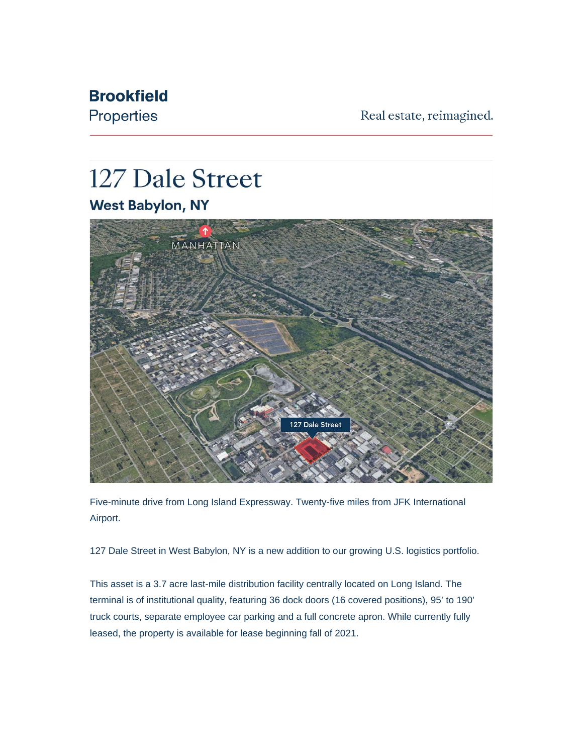## **Brookfield**

Properties

Real estate, reimagined.

## 127 Dale Street **West Babylon, NY**



Five-minute drive from Long Island Expressway. Twenty-five miles from JFK International Airport.

127 Dale Street in West Babylon, NY is a new addition to our growing U.S. logistics portfolio.

This asset is a 3.7 acre last-mile distribution facility centrally located on Long Island. The terminal is of institutional quality, featuring 36 dock doors (16 covered positions), 95' to 190' truck courts, separate employee car parking and a full concrete apron. While currently fully leased, the property is available for lease beginning fall of 2021.